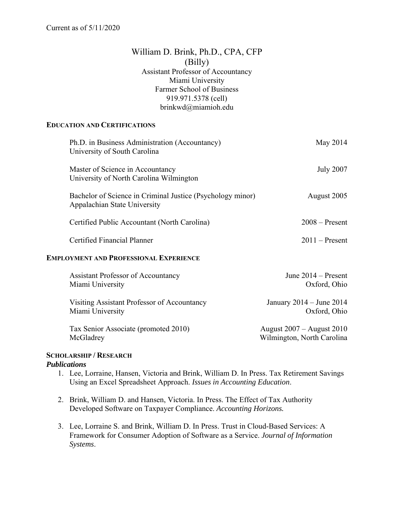# William D. Brink, Ph.D., CPA, CFP (Billy) Assistant Professor of Accountancy Miami University Farmer School of Business 919.971.5378 (cell) brinkwd@miamioh.edu

#### **EDUCATION AND CERTIFICATIONS**

| Ph.D. in Business Administration (Accountancy)<br>University of South Carolina             | May 2014                                     |
|--------------------------------------------------------------------------------------------|----------------------------------------------|
| Master of Science in Accountancy<br>University of North Carolina Wilmington                | <b>July 2007</b>                             |
| Bachelor of Science in Criminal Justice (Psychology minor)<br>Appalachian State University | August 2005                                  |
| Certified Public Accountant (North Carolina)                                               | $2008 -$ Present                             |
| Certified Financial Planner                                                                | $2011 -$ Present                             |
| <b>EMPLOYMENT AND PROFESSIONAL EXPERIENCE</b>                                              |                                              |
| <b>Assistant Professor of Accountancy</b><br>Miami University                              | June $2014 -$ Present<br>Oxford, Ohio        |
| Visiting Assistant Professor of Accountancy<br>Miami University                            | January $2014 -$ June $2014$<br>Oxford, Ohio |

 Tax Senior Associate (promoted 2010) August 2007 – August 2010 McGladrey Wilmington, North Carolina

# **SCHOLARSHIP / RESEARCH**

#### *Publications*

- 1. Lee, Lorraine, Hansen, Victoria and Brink, William D. In Press. Tax Retirement Savings Using an Excel Spreadsheet Approach. *Issues in Accounting Education*.
- 2. Brink, William D. and Hansen, Victoria. In Press. The Effect of Tax Authority Developed Software on Taxpayer Compliance. *Accounting Horizons.*
- 3. Lee, Lorraine S. and Brink, William D. In Press. Trust in Cloud-Based Services: A Framework for Consumer Adoption of Software as a Service. *Journal of Information Systems*.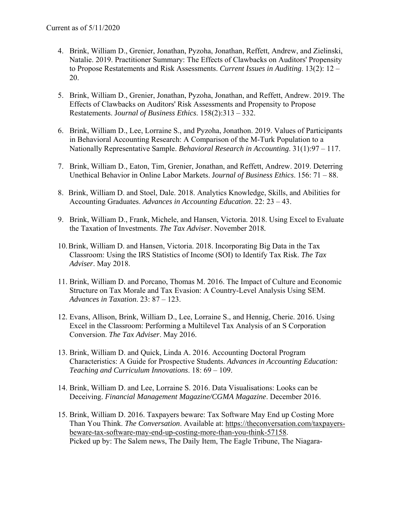- 4. Brink, William D., Grenier, Jonathan, Pyzoha, Jonathan, Reffett, Andrew, and Zielinski, Natalie. 2019. Practitioner Summary: The Effects of Clawbacks on Auditors' Propensity to Propose Restatements and Risk Assessments. *Current Issues in Auditing*. 13(2): 12 – 20.
- 5. Brink, William D., Grenier, Jonathan, Pyzoha, Jonathan, and Reffett, Andrew. 2019. The Effects of Clawbacks on Auditors' Risk Assessments and Propensity to Propose Restatements. J*ournal of Business Ethics*. 158(2):313 – 332.
- 6. Brink, William D., Lee, Lorraine S., and Pyzoha, Jonathon. 2019. Values of Participants in Behavioral Accounting Research: A Comparison of the M-Turk Population to a Nationally Representative Sample. *Behavioral Research in Accounting*. 31(1):97 – 117.
- 7. Brink, William D., Eaton, Tim, Grenier, Jonathan, and Reffett, Andrew. 2019. Deterring Unethical Behavior in Online Labor Markets. J*ournal of Business Ethics*. 156: 71 – 88.
- 8. Brink, William D. and Stoel, Dale. 2018. Analytics Knowledge, Skills, and Abilities for Accounting Graduates. *Advances in Accounting Education*. 22: 23 – 43.
- 9. Brink, William D., Frank, Michele, and Hansen, Victoria. 2018. Using Excel to Evaluate the Taxation of Investments. *The Tax Adviser*. November 2018*.*
- 10.Brink, William D. and Hansen, Victoria. 2018. Incorporating Big Data in the Tax Classroom: Using the IRS Statistics of Income (SOI) to Identify Tax Risk. *The Tax Adviser*. May 2018.
- 11. Brink, William D. and Porcano, Thomas M. 2016. The Impact of Culture and Economic Structure on Tax Morale and Tax Evasion: A Country-Level Analysis Using SEM. *Advances in Taxation*. 23: 87 – 123.
- 12. Evans, Allison, Brink, William D., Lee, Lorraine S., and Hennig, Cherie. 2016. Using Excel in the Classroom: Performing a Multilevel Tax Analysis of an S Corporation Conversion. *The Tax Adviser*. May 2016.
- 13. Brink, William D. and Quick, Linda A. 2016. Accounting Doctoral Program Characteristics: A Guide for Prospective Students. *Advances in Accounting Education: Teaching and Curriculum Innovations*. 18: 69 – 109.
- 14. Brink, William D. and Lee, Lorraine S. 2016. Data Visualisations: Looks can be Deceiving. *Financial Management Magazine/CGMA Magazine*. December 2016.
- 15. Brink, William D. 2016. Taxpayers beware: Tax Software May End up Costing More Than You Think. *The Conversation*. Available at: https://theconversation.com/taxpayersbeware-tax-software-may-end-up-costing-more-than-you-think-57158. Picked up by: The Salem news, The Daily Item, The Eagle Tribune, The Niagara-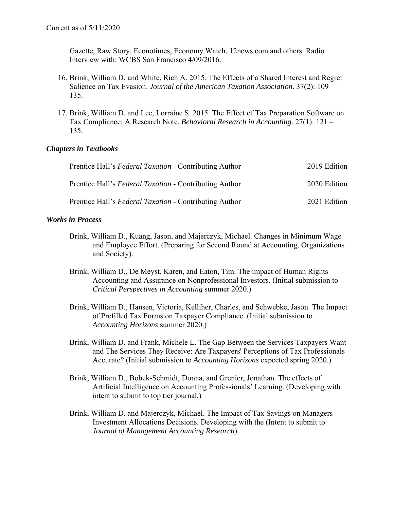Gazette, Raw Story, Econotimes, Economy Watch, 12news.com and others. Radio Interview with: WCBS San Francisco 4/09/2016.

- 16. Brink, William D. and White, Rich A. 2015. The Effects of a Shared Interest and Regret Salience on Tax Evasion. *Journal of the American Taxation Association*. 37(2): 109 – 135.
- 17. Brink, William D. and Lee, Lorraine S. 2015. The Effect of Tax Preparation Software on Tax Compliance: A Research Note. *Behavioral Research in Accounting*. 27(1): 121 – 135.

## *Chapters in Textbooks*

| Prentice Hall's Federal Taxation - Contributing Author | 2019 Edition |
|--------------------------------------------------------|--------------|
| Prentice Hall's Federal Taxation - Contributing Author | 2020 Edition |
| Prentice Hall's Federal Taxation - Contributing Author | 2021 Edition |

## *Works in Process*

- Brink, William D., Kuang, Jason, and Majerczyk, Michael. Changes in Minimum Wage and Employee Effort. (Preparing for Second Round at Accounting, Organizations and Society).
- Brink, William D., De Meyst, Karen, and Eaton, Tim. The impact of Human Rights Accounting and Assurance on Nonprofessional Investors. (Initial submission to *Critical Perspectives in Accounting* summer 2020.)
- Brink, William D., Hansen, Victoria, Kelliher, Charles, and Schwebke, Jason. The Impact of Prefilled Tax Forms on Taxpayer Compliance. (Initial submission to *Accounting Horizons* summer 2020.)
- Brink, William D. and Frank, Michele L. The Gap Between the Services Taxpayers Want and The Services They Receive: Are Taxpayers' Perceptions of Tax Professionals Accurate? (Initial submission to *Accounting Horizons* expected spring 2020.)
- Brink, William D., Bobek-Schmidt, Donna, and Grenier, Jonathan. The effects of Artificial Intelligence on Accounting Professionals' Learning. (Developing with intent to submit to top tier journal*.*)
- Brink, William D. and Majerczyk, Michael. The Impact of Tax Savings on Managers Investment Allocations Decisions. Developing with the (Intent to submit to *Journal of Management Accounting Research*).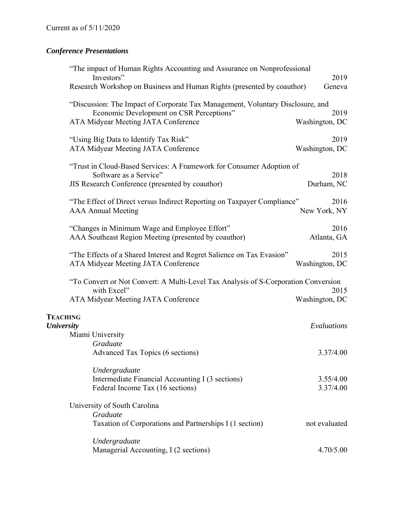# *Conference Presentations*

| "The impact of Human Rights Accounting and Assurance on Nonprofessional<br>Investors"                                                                                    | 2019                   |
|--------------------------------------------------------------------------------------------------------------------------------------------------------------------------|------------------------|
| Research Workshop on Business and Human Rights (presented by coauthor)                                                                                                   | Geneva                 |
| "Discussion: The Impact of Corporate Tax Management, Voluntary Disclosure, and<br>Economic Development on CSR Perceptions"<br><b>ATA Midyear Meeting JATA Conference</b> | 2019<br>Washington, DC |
| "Using Big Data to Identify Tax Risk"<br>ATA Midyear Meeting JATA Conference                                                                                             | 2019<br>Washington, DC |
| "Trust in Cloud-Based Services: A Framework for Consumer Adoption of<br>Software as a Service"<br>JIS Research Conference (presented by coauthor)                        | 2018<br>Durham, NC     |
| "The Effect of Direct versus Indirect Reporting on Taxpayer Compliance"<br><b>AAA Annual Meeting</b>                                                                     | 2016<br>New York, NY   |
| "Changes in Minimum Wage and Employee Effort"<br>AAA Southeast Region Meeting (presented by coauthor)                                                                    | 2016<br>Atlanta, GA    |
| "The Effects of a Shared Interest and Regret Salience on Tax Evasion"<br>ATA Midyear Meeting JATA Conference                                                             | 2015<br>Washington, DC |
| "To Convert or Not Convert: A Multi-Level Tax Analysis of S-Corporation Conversion<br>with Excel"<br>ATA Midyear Meeting JATA Conference                                 | 2015<br>Washington, DC |
| <b>TEACHING</b><br><b>University</b><br>Miami University<br>Graduate                                                                                                     | Evaluations            |
| Advanced Tax Topics (6 sections)                                                                                                                                         | 3.37/4.00              |
| Undergraduate<br>Intermediate Financial Accounting I (3 sections)<br>Federal Income Tax (16 sections)                                                                    | 3.55/4.00<br>3.37/4.00 |
| University of South Carolina<br>Graduate<br>Taxation of Corporations and Partnerships I (1 section)                                                                      | not evaluated          |
| Undergraduate<br>Managerial Accounting, I (2 sections)                                                                                                                   | 4.70/5.00              |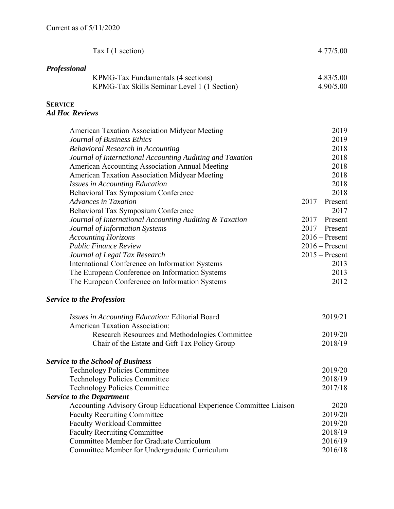| <b>Professional</b><br>4.83/5.00<br>KPMG-Tax Fundamentals (4 sections)<br>KPMG-Tax Skills Seminar Level 1 (1 Section)<br>4.90/5.00<br><b>SERVICE</b><br><b>Ad Hoc Reviews</b><br>2019<br><b>American Taxation Association Midyear Meeting</b><br>2019<br>Journal of Business Ethics<br>2018<br><b>Behavioral Research in Accounting</b><br>2018<br>Journal of International Accounting Auditing and Taxation<br>2018<br>American Accounting Association Annual Meeting<br>2018<br><b>American Taxation Association Midyear Meeting</b><br>2018<br><b>Issues in Accounting Education</b><br>2018<br>Behavioral Tax Symposium Conference<br><b>Advances in Taxation</b><br>$2017 -$ Present<br>Behavioral Tax Symposium Conference<br>2017<br>Journal of International Accounting Auditing & Taxation<br>$2017 -$ Present<br>$2017 -$ Present<br>Journal of Information Systems<br>$2016$ – Present<br><b>Accounting Horizons</b><br><b>Public Finance Review</b><br>$2016$ – Present<br>Journal of Legal Tax Research<br>2013<br>International Conference on Information Systems<br>2013<br>The European Conference on Information Systems<br>2012<br>The European Conference on Information Systems<br><b>Service to the Profession</b><br>2019/21<br><i>Issues in Accounting Education: Editorial Board</i><br><b>American Taxation Association:</b><br>Research Resources and Methodologies Committee<br>2019/20<br>2018/19<br>Chair of the Estate and Gift Tax Policy Group<br><b>Service to the School of Business</b><br><b>Technology Policies Committee</b><br>2019/20<br>2018/19<br><b>Technology Policies Committee</b><br>2017/18<br><b>Technology Policies Committee</b><br><b>Service to the Department</b><br>Accounting Advisory Group Educational Experience Committee Liaison<br>2020<br><b>Faculty Recruiting Committee</b><br>2019/20<br><b>Faculty Workload Committee</b><br>2019/20<br>2018/19<br><b>Faculty Recruiting Committee</b><br>Committee Member for Graduate Curriculum<br>2016/19 | Tax I (1 section)                             | 4.77/5.00 |
|------------------------------------------------------------------------------------------------------------------------------------------------------------------------------------------------------------------------------------------------------------------------------------------------------------------------------------------------------------------------------------------------------------------------------------------------------------------------------------------------------------------------------------------------------------------------------------------------------------------------------------------------------------------------------------------------------------------------------------------------------------------------------------------------------------------------------------------------------------------------------------------------------------------------------------------------------------------------------------------------------------------------------------------------------------------------------------------------------------------------------------------------------------------------------------------------------------------------------------------------------------------------------------------------------------------------------------------------------------------------------------------------------------------------------------------------------------------------------------------------------------------------------------------------------------------------------------------------------------------------------------------------------------------------------------------------------------------------------------------------------------------------------------------------------------------------------------------------------------------------------------------------------------------------------------------------------------------------------------------------------------------|-----------------------------------------------|-----------|
| $2015 -$ Present                                                                                                                                                                                                                                                                                                                                                                                                                                                                                                                                                                                                                                                                                                                                                                                                                                                                                                                                                                                                                                                                                                                                                                                                                                                                                                                                                                                                                                                                                                                                                                                                                                                                                                                                                                                                                                                                                                                                                                                                 |                                               |           |
|                                                                                                                                                                                                                                                                                                                                                                                                                                                                                                                                                                                                                                                                                                                                                                                                                                                                                                                                                                                                                                                                                                                                                                                                                                                                                                                                                                                                                                                                                                                                                                                                                                                                                                                                                                                                                                                                                                                                                                                                                  |                                               |           |
|                                                                                                                                                                                                                                                                                                                                                                                                                                                                                                                                                                                                                                                                                                                                                                                                                                                                                                                                                                                                                                                                                                                                                                                                                                                                                                                                                                                                                                                                                                                                                                                                                                                                                                                                                                                                                                                                                                                                                                                                                  |                                               |           |
|                                                                                                                                                                                                                                                                                                                                                                                                                                                                                                                                                                                                                                                                                                                                                                                                                                                                                                                                                                                                                                                                                                                                                                                                                                                                                                                                                                                                                                                                                                                                                                                                                                                                                                                                                                                                                                                                                                                                                                                                                  |                                               |           |
|                                                                                                                                                                                                                                                                                                                                                                                                                                                                                                                                                                                                                                                                                                                                                                                                                                                                                                                                                                                                                                                                                                                                                                                                                                                                                                                                                                                                                                                                                                                                                                                                                                                                                                                                                                                                                                                                                                                                                                                                                  |                                               |           |
|                                                                                                                                                                                                                                                                                                                                                                                                                                                                                                                                                                                                                                                                                                                                                                                                                                                                                                                                                                                                                                                                                                                                                                                                                                                                                                                                                                                                                                                                                                                                                                                                                                                                                                                                                                                                                                                                                                                                                                                                                  |                                               |           |
|                                                                                                                                                                                                                                                                                                                                                                                                                                                                                                                                                                                                                                                                                                                                                                                                                                                                                                                                                                                                                                                                                                                                                                                                                                                                                                                                                                                                                                                                                                                                                                                                                                                                                                                                                                                                                                                                                                                                                                                                                  |                                               |           |
|                                                                                                                                                                                                                                                                                                                                                                                                                                                                                                                                                                                                                                                                                                                                                                                                                                                                                                                                                                                                                                                                                                                                                                                                                                                                                                                                                                                                                                                                                                                                                                                                                                                                                                                                                                                                                                                                                                                                                                                                                  |                                               |           |
|                                                                                                                                                                                                                                                                                                                                                                                                                                                                                                                                                                                                                                                                                                                                                                                                                                                                                                                                                                                                                                                                                                                                                                                                                                                                                                                                                                                                                                                                                                                                                                                                                                                                                                                                                                                                                                                                                                                                                                                                                  |                                               |           |
|                                                                                                                                                                                                                                                                                                                                                                                                                                                                                                                                                                                                                                                                                                                                                                                                                                                                                                                                                                                                                                                                                                                                                                                                                                                                                                                                                                                                                                                                                                                                                                                                                                                                                                                                                                                                                                                                                                                                                                                                                  |                                               |           |
|                                                                                                                                                                                                                                                                                                                                                                                                                                                                                                                                                                                                                                                                                                                                                                                                                                                                                                                                                                                                                                                                                                                                                                                                                                                                                                                                                                                                                                                                                                                                                                                                                                                                                                                                                                                                                                                                                                                                                                                                                  |                                               |           |
|                                                                                                                                                                                                                                                                                                                                                                                                                                                                                                                                                                                                                                                                                                                                                                                                                                                                                                                                                                                                                                                                                                                                                                                                                                                                                                                                                                                                                                                                                                                                                                                                                                                                                                                                                                                                                                                                                                                                                                                                                  |                                               |           |
|                                                                                                                                                                                                                                                                                                                                                                                                                                                                                                                                                                                                                                                                                                                                                                                                                                                                                                                                                                                                                                                                                                                                                                                                                                                                                                                                                                                                                                                                                                                                                                                                                                                                                                                                                                                                                                                                                                                                                                                                                  |                                               |           |
|                                                                                                                                                                                                                                                                                                                                                                                                                                                                                                                                                                                                                                                                                                                                                                                                                                                                                                                                                                                                                                                                                                                                                                                                                                                                                                                                                                                                                                                                                                                                                                                                                                                                                                                                                                                                                                                                                                                                                                                                                  |                                               |           |
|                                                                                                                                                                                                                                                                                                                                                                                                                                                                                                                                                                                                                                                                                                                                                                                                                                                                                                                                                                                                                                                                                                                                                                                                                                                                                                                                                                                                                                                                                                                                                                                                                                                                                                                                                                                                                                                                                                                                                                                                                  |                                               |           |
|                                                                                                                                                                                                                                                                                                                                                                                                                                                                                                                                                                                                                                                                                                                                                                                                                                                                                                                                                                                                                                                                                                                                                                                                                                                                                                                                                                                                                                                                                                                                                                                                                                                                                                                                                                                                                                                                                                                                                                                                                  |                                               |           |
|                                                                                                                                                                                                                                                                                                                                                                                                                                                                                                                                                                                                                                                                                                                                                                                                                                                                                                                                                                                                                                                                                                                                                                                                                                                                                                                                                                                                                                                                                                                                                                                                                                                                                                                                                                                                                                                                                                                                                                                                                  |                                               |           |
|                                                                                                                                                                                                                                                                                                                                                                                                                                                                                                                                                                                                                                                                                                                                                                                                                                                                                                                                                                                                                                                                                                                                                                                                                                                                                                                                                                                                                                                                                                                                                                                                                                                                                                                                                                                                                                                                                                                                                                                                                  |                                               |           |
|                                                                                                                                                                                                                                                                                                                                                                                                                                                                                                                                                                                                                                                                                                                                                                                                                                                                                                                                                                                                                                                                                                                                                                                                                                                                                                                                                                                                                                                                                                                                                                                                                                                                                                                                                                                                                                                                                                                                                                                                                  |                                               |           |
|                                                                                                                                                                                                                                                                                                                                                                                                                                                                                                                                                                                                                                                                                                                                                                                                                                                                                                                                                                                                                                                                                                                                                                                                                                                                                                                                                                                                                                                                                                                                                                                                                                                                                                                                                                                                                                                                                                                                                                                                                  |                                               |           |
|                                                                                                                                                                                                                                                                                                                                                                                                                                                                                                                                                                                                                                                                                                                                                                                                                                                                                                                                                                                                                                                                                                                                                                                                                                                                                                                                                                                                                                                                                                                                                                                                                                                                                                                                                                                                                                                                                                                                                                                                                  |                                               |           |
|                                                                                                                                                                                                                                                                                                                                                                                                                                                                                                                                                                                                                                                                                                                                                                                                                                                                                                                                                                                                                                                                                                                                                                                                                                                                                                                                                                                                                                                                                                                                                                                                                                                                                                                                                                                                                                                                                                                                                                                                                  |                                               |           |
|                                                                                                                                                                                                                                                                                                                                                                                                                                                                                                                                                                                                                                                                                                                                                                                                                                                                                                                                                                                                                                                                                                                                                                                                                                                                                                                                                                                                                                                                                                                                                                                                                                                                                                                                                                                                                                                                                                                                                                                                                  |                                               |           |
|                                                                                                                                                                                                                                                                                                                                                                                                                                                                                                                                                                                                                                                                                                                                                                                                                                                                                                                                                                                                                                                                                                                                                                                                                                                                                                                                                                                                                                                                                                                                                                                                                                                                                                                                                                                                                                                                                                                                                                                                                  |                                               |           |
|                                                                                                                                                                                                                                                                                                                                                                                                                                                                                                                                                                                                                                                                                                                                                                                                                                                                                                                                                                                                                                                                                                                                                                                                                                                                                                                                                                                                                                                                                                                                                                                                                                                                                                                                                                                                                                                                                                                                                                                                                  |                                               |           |
|                                                                                                                                                                                                                                                                                                                                                                                                                                                                                                                                                                                                                                                                                                                                                                                                                                                                                                                                                                                                                                                                                                                                                                                                                                                                                                                                                                                                                                                                                                                                                                                                                                                                                                                                                                                                                                                                                                                                                                                                                  |                                               |           |
|                                                                                                                                                                                                                                                                                                                                                                                                                                                                                                                                                                                                                                                                                                                                                                                                                                                                                                                                                                                                                                                                                                                                                                                                                                                                                                                                                                                                                                                                                                                                                                                                                                                                                                                                                                                                                                                                                                                                                                                                                  |                                               |           |
|                                                                                                                                                                                                                                                                                                                                                                                                                                                                                                                                                                                                                                                                                                                                                                                                                                                                                                                                                                                                                                                                                                                                                                                                                                                                                                                                                                                                                                                                                                                                                                                                                                                                                                                                                                                                                                                                                                                                                                                                                  |                                               |           |
|                                                                                                                                                                                                                                                                                                                                                                                                                                                                                                                                                                                                                                                                                                                                                                                                                                                                                                                                                                                                                                                                                                                                                                                                                                                                                                                                                                                                                                                                                                                                                                                                                                                                                                                                                                                                                                                                                                                                                                                                                  |                                               |           |
|                                                                                                                                                                                                                                                                                                                                                                                                                                                                                                                                                                                                                                                                                                                                                                                                                                                                                                                                                                                                                                                                                                                                                                                                                                                                                                                                                                                                                                                                                                                                                                                                                                                                                                                                                                                                                                                                                                                                                                                                                  |                                               |           |
|                                                                                                                                                                                                                                                                                                                                                                                                                                                                                                                                                                                                                                                                                                                                                                                                                                                                                                                                                                                                                                                                                                                                                                                                                                                                                                                                                                                                                                                                                                                                                                                                                                                                                                                                                                                                                                                                                                                                                                                                                  |                                               |           |
|                                                                                                                                                                                                                                                                                                                                                                                                                                                                                                                                                                                                                                                                                                                                                                                                                                                                                                                                                                                                                                                                                                                                                                                                                                                                                                                                                                                                                                                                                                                                                                                                                                                                                                                                                                                                                                                                                                                                                                                                                  |                                               |           |
|                                                                                                                                                                                                                                                                                                                                                                                                                                                                                                                                                                                                                                                                                                                                                                                                                                                                                                                                                                                                                                                                                                                                                                                                                                                                                                                                                                                                                                                                                                                                                                                                                                                                                                                                                                                                                                                                                                                                                                                                                  |                                               |           |
|                                                                                                                                                                                                                                                                                                                                                                                                                                                                                                                                                                                                                                                                                                                                                                                                                                                                                                                                                                                                                                                                                                                                                                                                                                                                                                                                                                                                                                                                                                                                                                                                                                                                                                                                                                                                                                                                                                                                                                                                                  |                                               |           |
|                                                                                                                                                                                                                                                                                                                                                                                                                                                                                                                                                                                                                                                                                                                                                                                                                                                                                                                                                                                                                                                                                                                                                                                                                                                                                                                                                                                                                                                                                                                                                                                                                                                                                                                                                                                                                                                                                                                                                                                                                  |                                               |           |
|                                                                                                                                                                                                                                                                                                                                                                                                                                                                                                                                                                                                                                                                                                                                                                                                                                                                                                                                                                                                                                                                                                                                                                                                                                                                                                                                                                                                                                                                                                                                                                                                                                                                                                                                                                                                                                                                                                                                                                                                                  |                                               |           |
|                                                                                                                                                                                                                                                                                                                                                                                                                                                                                                                                                                                                                                                                                                                                                                                                                                                                                                                                                                                                                                                                                                                                                                                                                                                                                                                                                                                                                                                                                                                                                                                                                                                                                                                                                                                                                                                                                                                                                                                                                  |                                               |           |
|                                                                                                                                                                                                                                                                                                                                                                                                                                                                                                                                                                                                                                                                                                                                                                                                                                                                                                                                                                                                                                                                                                                                                                                                                                                                                                                                                                                                                                                                                                                                                                                                                                                                                                                                                                                                                                                                                                                                                                                                                  |                                               |           |
|                                                                                                                                                                                                                                                                                                                                                                                                                                                                                                                                                                                                                                                                                                                                                                                                                                                                                                                                                                                                                                                                                                                                                                                                                                                                                                                                                                                                                                                                                                                                                                                                                                                                                                                                                                                                                                                                                                                                                                                                                  |                                               |           |
|                                                                                                                                                                                                                                                                                                                                                                                                                                                                                                                                                                                                                                                                                                                                                                                                                                                                                                                                                                                                                                                                                                                                                                                                                                                                                                                                                                                                                                                                                                                                                                                                                                                                                                                                                                                                                                                                                                                                                                                                                  | Committee Member for Undergraduate Curriculum | 2016/18   |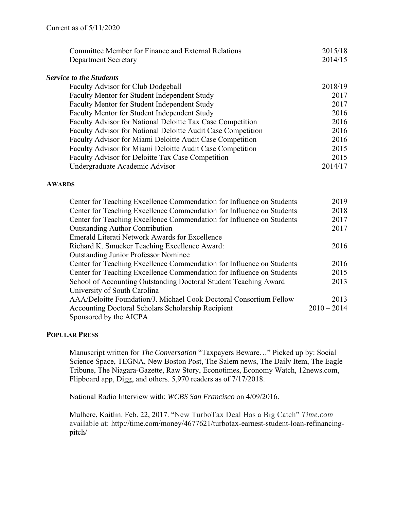| Committee Member for Finance and External Relations          | 2015/18 |
|--------------------------------------------------------------|---------|
| <b>Department Secretary</b>                                  | 2014/15 |
| <b>Service to the Students</b>                               |         |
| Faculty Advisor for Club Dodgeball                           | 2018/19 |
| Faculty Mentor for Student Independent Study                 | 2017    |
| Faculty Mentor for Student Independent Study                 | 2017    |
| Faculty Mentor for Student Independent Study                 | 2016    |
| Faculty Advisor for National Deloitte Tax Case Competition   | 2016    |
| Faculty Advisor for National Deloitte Audit Case Competition | 2016    |
| Faculty Advisor for Miami Deloitte Audit Case Competition    | 2016    |
| Faculty Advisor for Miami Deloitte Audit Case Competition    | 2015    |
| Faculty Advisor for Deloitte Tax Case Competition            | 2015    |
| Undergraduate Academic Advisor                               | 2014/17 |

#### **AWARDS**

| Center for Teaching Excellence Commendation for Influence on Students | 2019          |
|-----------------------------------------------------------------------|---------------|
| Center for Teaching Excellence Commendation for Influence on Students | 2018          |
| Center for Teaching Excellence Commendation for Influence on Students | 2017          |
| <b>Outstanding Author Contribution</b>                                | 2017          |
| <b>Emerald Literati Network Awards for Excellence</b>                 |               |
| Richard K. Smucker Teaching Excellence Award:                         | 2016          |
| <b>Outstanding Junior Professor Nominee</b>                           |               |
| Center for Teaching Excellence Commendation for Influence on Students | 2016          |
| Center for Teaching Excellence Commendation for Influence on Students | 2015          |
| School of Accounting Outstanding Doctoral Student Teaching Award      | 2013          |
| University of South Carolina                                          |               |
| AAA/Deloitte Foundation/J. Michael Cook Doctoral Consortium Fellow    | 2013          |
| <b>Accounting Doctoral Scholars Scholarship Recipient</b>             | $2010 - 2014$ |
| Sponsored by the AICPA                                                |               |
|                                                                       |               |

#### **POPULAR PRESS**

 Manuscript written for *The Conversation* "Taxpayers Beware…" Picked up by: Social Science Space, TEGNA, New Boston Post, The Salem news, The Daily Item, The Eagle Tribune, The Niagara-Gazette, Raw Story, Econotimes, Economy Watch, 12news.com, Flipboard app, Digg, and others. 5,970 readers as of 7/17/2018.

National Radio Interview with: *WCBS San Francisco* on 4/09/2016.

 Mulhere, Kaitlin. Feb. 22, 2017. "New TurboTax Deal Has a Big Catch" *Time.com* available at: http://time.com/money/4677621/turbotax-earnest-student-loan-refinancingpitch/